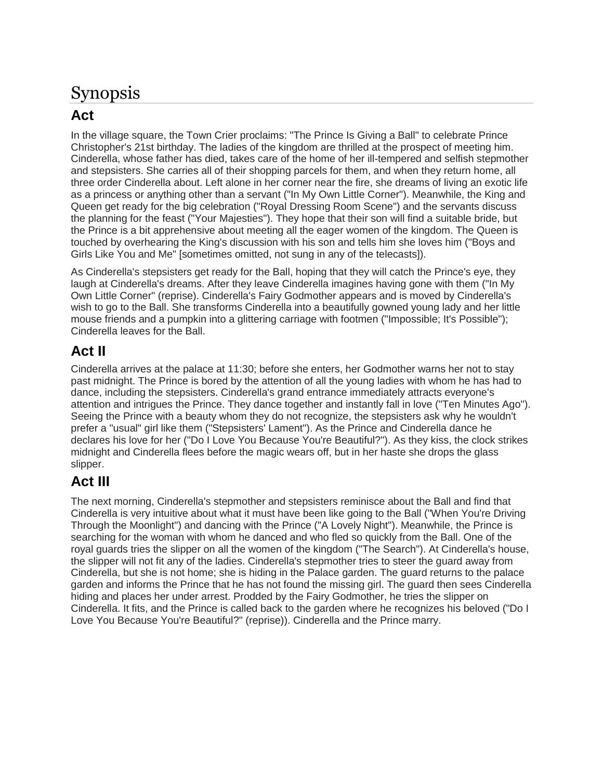## Synopsis

## **Act**

In the village square, the Town Crier proclaims: "The Prince Is Giving a Ball" to celebrate Prince Christopher's 21st birthday. The ladies of the kingdom are thrilled at the prospect of meeting him. Cinderella, whose father has died, takes care of the home of her ill-tempered and selfish stepmother and stepsisters. She carries all of their shopping parcels for them, and when they return home, all three order Cinderella about. Left alone in her corner near the fire, she dreams of living an exotic life as a princess or anything other than a servant ("In My Own Little Corner"). Meanwhile, the King and Queen get ready for the big celebration ("Royal Dressing Room Scene") and the servants discuss the planning for the feast ("Your Majesties"). They hope that their son will find a suitable bride, but the Prince is a bit apprehensive about meeting all the eager women of the kingdom. The Queen is touched by overhearing the King's discussion with his son and tells him she loves him ("Boys and Girls Like You and Me" [sometimes omitted, not sung in any of the telecasts]).

As Cinderella's stepsisters get ready for the Ball, hoping that they will catch the Prince's eye, they laugh at Cinderella's dreams. After they leave Cinderella imagines having gone with them ("In My Own Little Corner" (reprise). Cinderella's Fairy Godmother appears and is moved by Cinderella's wish to go to the Ball. She transforms Cinderella into a beautifully gowned young lady and her little mouse friends and a pumpkin into a glittering carriage with footmen ("Impossible; It's Possible"); Cinderella leaves for the Ball.

### **Act II**

Cinderella arrives at the palace at 11:30; before she enters, her Godmother warns her not to stay past midnight. The Prince is bored by the attention of all the young ladies with whom he has had to dance, including the stepsisters. Cinderella's grand entrance immediately attracts everyone's attention and intrigues the Prince. They dance together and instantly fall in love ("Ten Minutes Ago"). Seeing the Prince with a beauty whom they do not recognize, the stepsisters ask why he wouldn't prefer a "usual" girl like them ("Stepsisters' Lament"). As the Prince and Cinderella dance he declares his love for her ("Do I Love You Because You're Beautiful?"). As they kiss, the clock strikes midnight and Cinderella flees before the magic wears off, but in her haste she drops the glass slipper.

## **Act III**

The next morning, Cinderella's stepmother and stepsisters reminisce about the Ball and find that Cinderella is very intuitive about what it must have been like going to the Ball ("When You're Driving Through the Moonlight") and dancing with the Prince ("A Lovely Night"). Meanwhile, the Prince is searching for the woman with whom he danced and who fled so quickly from the Ball. One of the royal guards tries the slipper on all the women of the kingdom ("The Search"). At Cinderella's house, the slipper will not fit any of the ladies. Cinderella's stepmother tries to steer the guard away from Cinderella, but she is not home; she is hiding in the Palace garden. The guard returns to the palace garden and informs the Prince that he has not found the missing girl. The guard then sees Cinderella hiding and places her under arrest. Prodded by the Fairy Godmother, he tries the slipper on Cinderella. It fits, and the Prince is called back to the garden where he recognizes his beloved ("Do I Love You Because You're Beautiful?" (reprise)). Cinderella and the Prince marry.